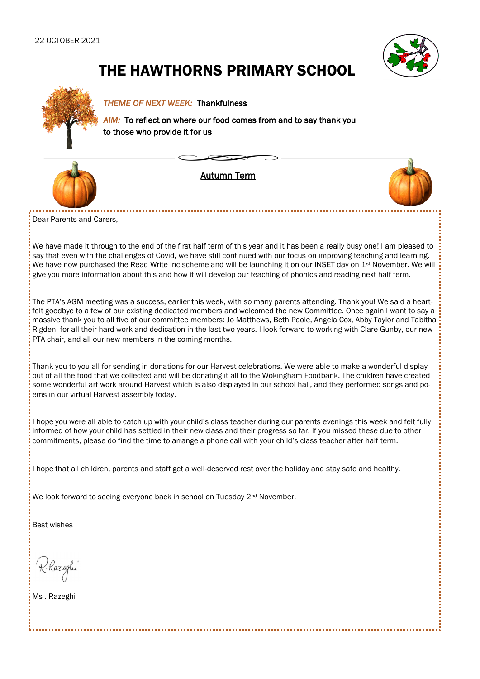

# THE HAWTHORNS PRIMARY SCHOOL



#### *THEME OF NEXT WEEK:* Thankfulness

*AIM:* To reflect on where our food comes from and to say thank you to those who provide it for us



Autumn Term



Dear Parents and Carers,

We have made it through to the end of the first half term of this year and it has been a really busy one! I am pleased to say that even with the challenges of Covid, we have still continued with our focus on improving teaching and learning. We have now purchased the Read Write Inc scheme and will be launching it on our INSET day on  $1^{st}$  November. We will give you more information about this and how it will develop our teaching of phonics and reading next half term.

The PTA's AGM meeting was a success, earlier this week, with so many parents attending. Thank you! We said a heartfelt goodbye to a few of our existing dedicated members and welcomed the new Committee. Once again I want to say a massive thank you to all five of our committee members: Jo Matthews, Beth Poole, Angela Cox, Abby Taylor and Tabitha Rigden, for all their hard work and dedication in the last two years. I look forward to working with Clare Gunby, our new PTA chair, and all our new members in the coming months.

Thank you to you all for sending in donations for our Harvest celebrations. We were able to make a wonderful display out of all the food that we collected and will be donating it all to the Wokingham Foodbank. The children have created some wonderful art work around Harvest which is also displayed in our school hall, and they performed songs and poems in our virtual Harvest assembly today.

I hope you were all able to catch up with your child's class teacher during our parents evenings this week and felt fully informed of how your child has settled in their new class and their progress so far. If you missed these due to other commitments, please do find the time to arrange a phone call with your child's class teacher after half term.

I hope that all children, parents and staff get a well-deserved rest over the holiday and stay safe and healthy.

We look forward to seeing everyone back in school on Tuesday 2<sup>nd</sup> November.

Best wishes

K. Razeglu

Ms . Razeghi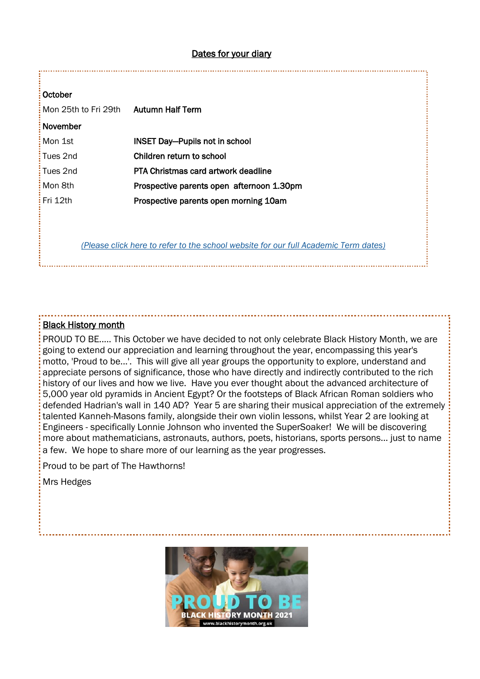#### Dates for your diary

#### **October**

| Mon 25th to Fri 29th Autumn Half Term |                                           |
|---------------------------------------|-------------------------------------------|
| November                              |                                           |
| : Mon 1st                             | <b>INSET Day-Pupils not in school</b>     |
| : Tues 2nd                            | Children return to school                 |
| : Tues 2nd                            | PTA Christmas card artwork deadline       |
| : Mon 8th                             | Prospective parents open afternoon 1.30pm |
| Fri 12th                              | Prospective parents open morning 10am     |
|                                       |                                           |

*[\(Please click here to refer to the school website for our full Academic Term dates\)](https://www.hawthorns.wokingham.sch.uk/website/term_dates_2021-2023/29333)* 

#### Black History month

PROUD TO BE..... This October we have decided to not only celebrate Black History Month, we are going to extend our appreciation and learning throughout the year, encompassing this year's motto, 'Proud to be...'. This will give all year groups the opportunity to explore, understand and appreciate persons of significance, those who have directly and indirectly contributed to the rich history of our lives and how we live. Have you ever thought about the advanced architecture of 5,000 year old pyramids in Ancient Egypt? Or the footsteps of Black African Roman soldiers who defended Hadrian's wall in 140 AD? Year 5 are sharing their musical appreciation of the extremely talented Kanneh-Masons family, alongside their own violin lessons, whilst Year 2 are looking at Engineers - specifically Lonnie Johnson who invented the SuperSoaker! We will be discovering more about mathematicians, astronauts, authors, poets, historians, sports persons... just to name a few. We hope to share more of our learning as the year progresses.

Proud to be part of The Hawthorns!

Mrs Hedges

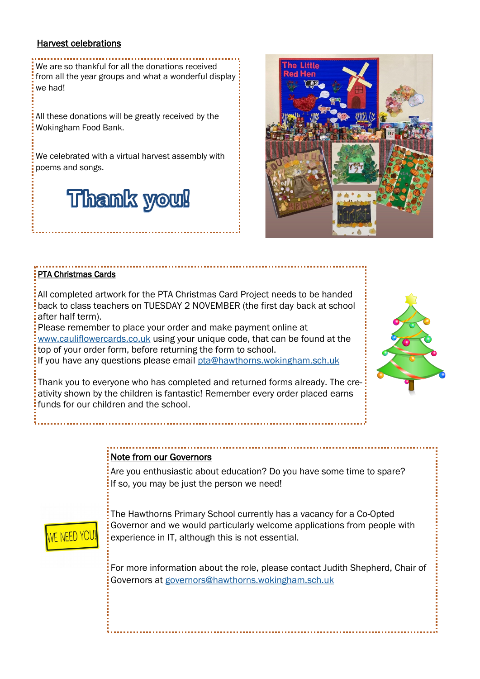#### Harvest celebrations

We are so thankful for all the donations received from all the year groups and what a wonderful display we had!

All these donations will be greatly received by the Wokingham Food Bank.

We celebrated with a virtual harvest assembly with poems and songs.

# **Thank you!**



#### PTA Christmas Cards

All completed artwork for the PTA Christmas Card Project needs to be handed back to class teachers on TUESDAY 2 NOVEMBER (the first day back at school after half term).

Please remember to place your order and make payment online at [www.cauliflowercards.co.uk](http://www.cauliflowercards.co.uk) using your unique code, that can be found at the top of your order form, before returning the form to school.

If you have any questions please email [pta@hawthorns.wokingham.sch.uk](mailto:pta@hawthorns.wokingham.sch.uk)

Thank you to everyone who has completed and returned forms already. The creativity shown by the children is fantastic! Remember every order placed earns funds for our children and the school.



#### Note from our Governors

Are you enthusiastic about education? Do you have some time to spare? If so, you may be just the person we need!



The Hawthorns Primary School currently has a vacancy for a Co-Opted Governor and we would particularly welcome applications from people with experience in IT, although this is not essential.

For more information about the role, please contact Judith Shepherd, Chair of Governors at [governors@hawthorns.wokingham.sch.uk](mailto:governors@hawthorns.wokingham.sch.uk)